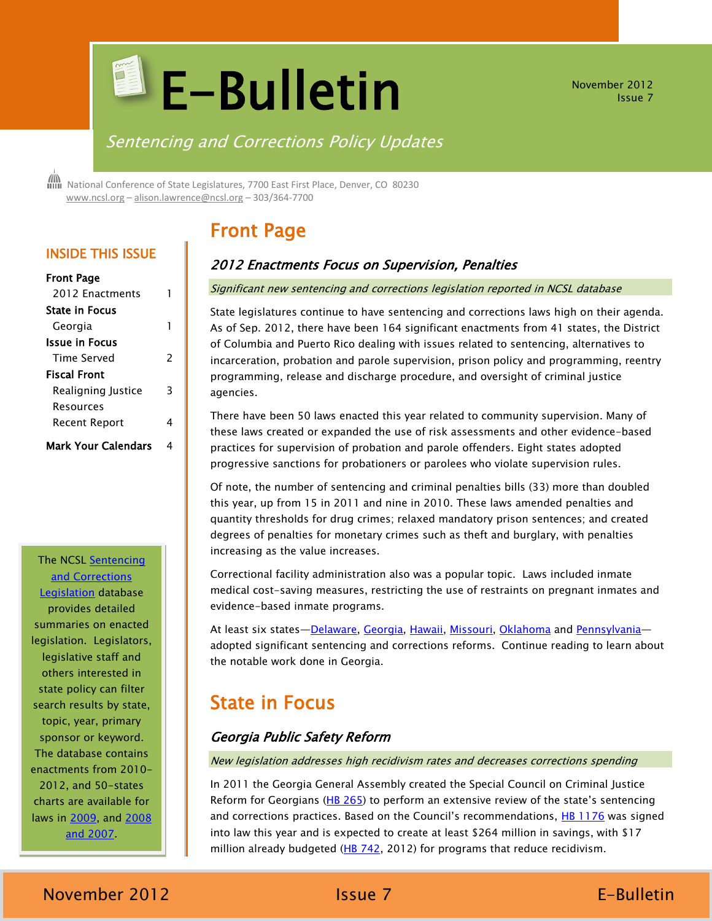# **E-Bulletin**

November 2012 Issue 7

## Sentencing and Corrections Policy Updates

 National Conference of State Legislatures, 7700 East First Place, Denver, CO 80230 [www.ncsl.org](http://www.ncsl.org/) – [alison.lawrence@ncsl.org](mailto:Alison.lawrence@ncsl.org) – 303/364-7700

# Front Page

## 2012 Enactments Focus on Supervision, Penalties

#### Significant new sentencing and corrections legislation reported in NCSL database

State legislatures continue to have sentencing and corrections laws high on their agenda. As of Sep. 2012, there have been 164 significant enactments from 41 states, the District of Columbia and Puerto Rico dealing with issues related to sentencing, alternatives to incarceration, probation and parole supervision, prison policy and programming, reentry programming, release and discharge procedure, and oversight of criminal justice agencies.

There have been 50 laws enacted this year related to community supervision. Many of these laws created or expanded the use of risk assessments and other evidence-based practices for supervision of probation and parole offenders. Eight states adopted progressive sanctions for probationers or parolees who violate supervision rules.

Of note, the number of sentencing and criminal penalties bills (33) more than doubled this year, up from 15 in 2011 and nine in 2010. These laws amended penalties and quantity thresholds for drug crimes; relaxed mandatory prison sentences; and created degrees of penalties for monetary crimes such as theft and burglary, with penalties increasing as the value increases.

Correctional facility administration also was a popular topic. Laws included inmate medical cost-saving measures, restricting the use of restraints on pregnant inmates and evidence-based inmate programs.

At least six states—[Delaware,](http://www.legis.delaware.gov/LIS/LIS146.NSF/vwLegislation/SB+226?Opendocument) [Georgia,](http://www.legis.ga.gov/legislation/en-US/Display/20112012/HB/1176) [Hawaii,](http://www.capitol.hawaii.gov/measure_indiv.aspx?billtype=SB&billnumber=2276) [Missouri,](http://www.house.mo.gov/billtracking/bills121/sumpdf/HB1525T.pdf) [Oklahoma](http://www.oklegislature.gov/BillInfo.aspx?Bill=HB3052&Session=1200) and [Pennsylvania](http://www.legis.state.pa.us/cfdocs/billinfo/billinfo.cfm?syear=2011&sind=0&body=S&type=B&BN=0100) adopted significant sentencing and corrections reforms. Continue reading to learn about the notable work done in Georgia.

# State in Focus

## Georgia Public Safety Reform

New legislation addresses high recidivism rates and decreases corrections spending

In 2011 the Georgia General Assembly created the Special Council on Criminal Justice Reform for Georgians ( $HB\ 265$ ) to perform an extensive review of the state's sentencing and corrections practices. Based on the Council's recommendations, [HB 1176](http://www1.legis.ga.gov/legis/2011_12/pdf/hb1176.pdf) was signed into law this year and is expected to create at least \$264 million in savings, with \$17 million already budgeted  $(HB 742, 2012)$  $(HB 742, 2012)$  for programs that reduce recidivism.

## INSIDE THIS ISSUE

| Front Page          |   |
|---------------------|---|
| 2012 Enactments     | 1 |
| State in Focus      |   |
| Georgia             | 1 |
| Issue in Focus      |   |
| Time Served         | 2 |
| Fiscal Front        |   |
| Realigning Justice  | З |
| Resources           |   |
| Recent Report       | 4 |
| Mark Your Calendars |   |

## The NCSL [Sentencing](http://www.ncsl.org/issues-research/justice/state-sentencing-and-corrections-legislation-in-20.aspx)  [and Corrections](http://www.ncsl.org/issues-research/justice/state-sentencing-and-corrections-legislation-in-20.aspx)

[Legislation](http://www.ncsl.org/issues-research/justice/state-sentencing-and-corrections-legislation-in-20.aspx) database provides detailed summaries on enacted legislation. Legislators, legislative staff and others interested in state policy can filter search results by state, topic, year, primary sponsor or keyword. The database contains enactments from 2010- 2012, and 50-states charts are available for laws in [2009,](http://www.ncsl.org/issues-research/justice/sentencing-and-corrections-legislation-in-2009.aspx) and [2008](http://www.ncsl.org/issues-research/justice/significant-state-sentencing-and-corrections-legis.aspx)  [and 2007.](http://www.ncsl.org/issues-research/justice/significant-state-sentencing-and-corrections-legis.aspx)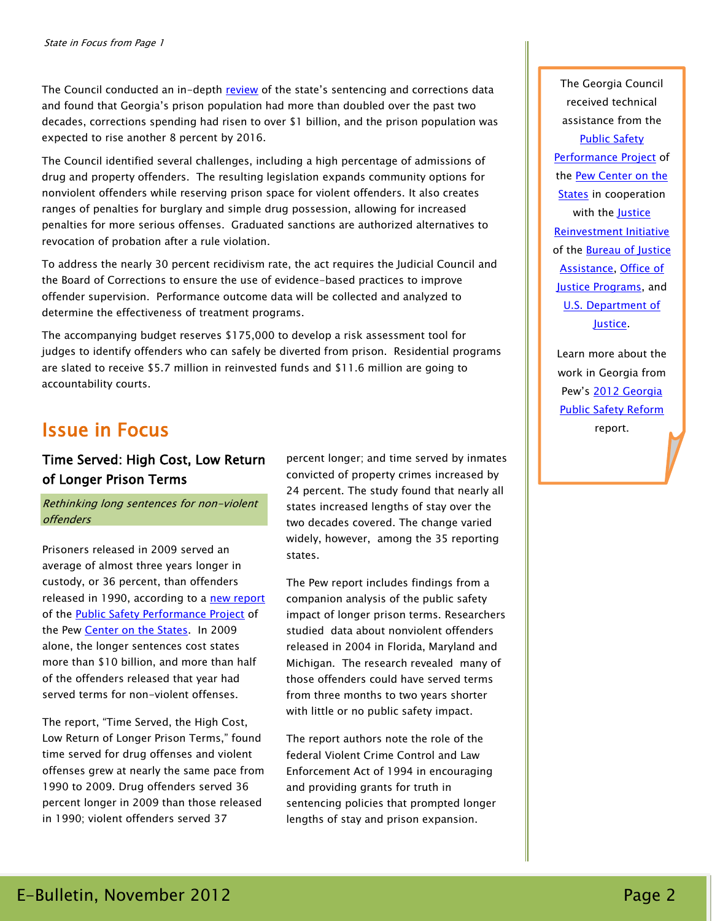The Council conducted an in-depth [review](http://www.legis.ga.gov/Documents/GACouncilReport-FINALDRAFT.pdf) of the state's sentencing and corrections data and found that Georgia's prison population had more than doubled over the past two decades, corrections spending had risen to over \$1 billion, and the prison population was expected to rise another 8 percent by 2016.

The Council identified several challenges, including a high percentage of admissions of drug and property offenders. The resulting legislation expands community options for nonviolent offenders while reserving prison space for violent offenders. It also creates ranges of penalties for burglary and simple drug possession, allowing for increased penalties for more serious offenses. Graduated sanctions are authorized alternatives to revocation of probation after a rule violation.

To address the nearly 30 percent recidivism rate, the act requires the Judicial Council and the Board of Corrections to ensure the use of evidence-based practices to improve offender supervision. Performance outcome data will be collected and analyzed to determine the effectiveness of treatment programs.

The accompanying budget reserves \$175,000 to develop a risk assessment tool for judges to identify offenders who can safely be diverted from prison. Residential programs are slated to receive \$5.7 million in reinvested funds and \$11.6 million are going to accountability courts.

## Issue in Focus

## Time Served: High Cost, Low Return of Longer Prison Terms

Rethinking long sentences for non-violent offenders

Prisoners released in 2009 served an average of almost three years longer in custody, or 36 percent, than offenders released in 1990, according to a [new report](http://www.pewstates.org/research/reports/time-served-85899394616) of the [Public Safety Performance Project](http://www.pewstates.org/projects/public-safety-performance-project-328068) of the Pew [Center on the States.](http://www.pewstates.org/) In 2009 alone, the longer sentences cost states more than \$10 billion, and more than half of the offenders released that year had served terms for non-violent offenses.

The report, "Time Served, the High Cost, Low Return of Longer Prison Terms," found time served for drug offenses and violent offenses grew at nearly the same pace from 1990 to 2009. Drug offenders served 36 percent longer in 2009 than those released in 1990; violent offenders served 37

percent longer; and time served by inmates convicted of property crimes increased by 24 percent. The study found that nearly all states increased lengths of stay over the two decades covered. The change varied widely, however, among the 35 reporting states.

The Pew report includes findings from a companion analysis of the public safety impact of longer prison terms. Researchers studied data about nonviolent offenders released in 2004 in Florida, Maryland and Michigan. The research revealed many of those offenders could have served terms from three months to two years shorter with little or no public safety impact.

The report authors note the role of the federal Violent Crime Control and Law Enforcement Act of 1994 in encouraging and providing grants for truth in sentencing policies that prompted longer lengths of stay and prison expansion.

The Georgia Council received technical assistance from the [Public Safety](http://www.pewcenteronthestates.org/initiatives_detail.aspx?initiativeID=31336)  [Performance Project](http://www.pewcenteronthestates.org/initiatives_detail.aspx?initiativeID=31336) of the [Pew Center on the](http://www.pewcenteronthestates.org/)  [States](http://www.pewcenteronthestates.org/) in cooperation with the **Justice** [Reinvestment Initiative](https://www.bja.gov/ProgramDetails.aspx?Program_ID=92) of the **Bureau of Justice** [Assistance,](https://www.bja.gov/) [Office of](http://www.ojp.gov/)  [Justice Programs,](http://www.ojp.gov/) and [U.S. Department of](http://www.justice.gov/)  [Justice.](http://www.justice.gov/)

Learn more about the work in Georgia from Pew's [2012 Georgia](http://www.pewstates.org/uploadedFiles/PCS_Assets/2012/Pew_Georgia_Safety_Reform.pdf)  **[Public Safety Reform](http://www.pewstates.org/uploadedFiles/PCS_Assets/2012/Pew_Georgia_Safety_Reform.pdf)** report.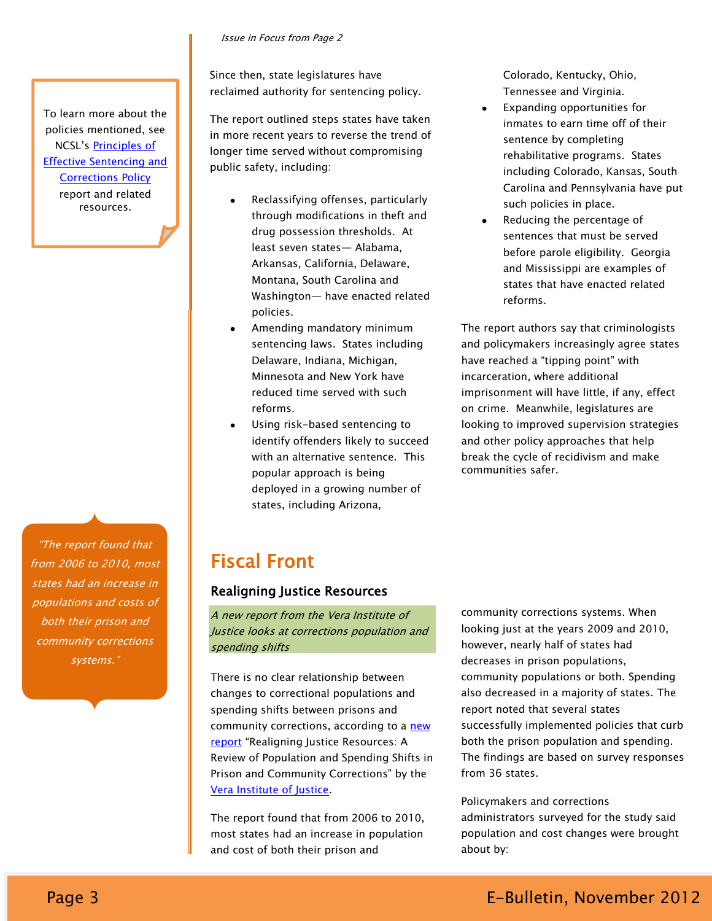#### Issue in Focus from Page 2

Since then, state legislatures have reclaimed authority for sentencing policy.

The report outlined steps states have taken in more recent years to reverse the trend of longer time served without compromising public safety, including:

- Reclassifying offenses, particularly through modifications in theft and drug possession thresholds. At least seven states— Alabama, Arkansas, California, Delaware, Montana, South Carolina and Washington— have enacted related policies.
- Amending mandatory minimum sentencing laws. States including Delaware, Indiana, Michigan, Minnesota and New York have reduced time served with such reforms.
- Using risk-based sentencing to identify offenders likely to succeed with an alternative sentence. This popular approach is being deployed in a growing number of states, including Arizona,

Colorado, Kentucky, Ohio, Tennessee and Virginia.

- Expanding opportunities for inmates to earn time off of their sentence by completing rehabilitative programs. States including Colorado, Kansas, South Carolina and Pennsylvania have put such policies in place.
- Reducing the percentage of sentences that must be served before parole eligibility. Georgia and Mississippi are examples of states that have enacted related reforms.

The report authors say that criminologists and policymakers increasingly agree states have reached a "tipping point" with incarceration, where additional imprisonment will have little, if any, effect on crime. Meanwhile, legislatures are looking to improved supervision strategies and other policy approaches that help break the cycle of recidivism and make communities safer.

―The report found that from 2006 to 2010, most states had an increase in populations and costs of both their prison and community corrections systems."

To learn more about the policies mentioned, see NCSL's [Principles of](http://www.ncsl.org/issues-research/justice/principles-of-effective-state-sentencing-and-c42.aspx)  [Effective Sentencing and](http://www.ncsl.org/issues-research/justice/principles-of-effective-state-sentencing-and-c42.aspx)  [Corrections Policy](http://www.ncsl.org/issues-research/justice/principles-of-effective-state-sentencing-and-c42.aspx) report and related resources.

# Fiscal Front

### Realigning Justice Resources

A new report from the Vera Institute of Justice looks at corrections population and spending shifts

There is no clear relationship between changes to correctional populations and spending shifts between prisons and community corrections, according to a new [report](http://www.vera.org/pubs/realigning-justice-resources) "Realigning Justice Resources: A Review of Population and Spending Shifts in Prison and Community Corrections" by the [Vera Institute of Justice.](http://www.vera.org/)

The report found that from 2006 to 2010, most states had an increase in population and cost of both their prison and

community corrections systems. When looking just at the years 2009 and 2010, however, nearly half of states had decreases in prison populations, community populations or both. Spending also decreased in a majority of states. The report noted that several states successfully implemented policies that curb both the prison population and spending. The findings are based on survey responses from 36 states.

Policymakers and corrections administrators surveyed for the study said population and cost changes were brought about by: